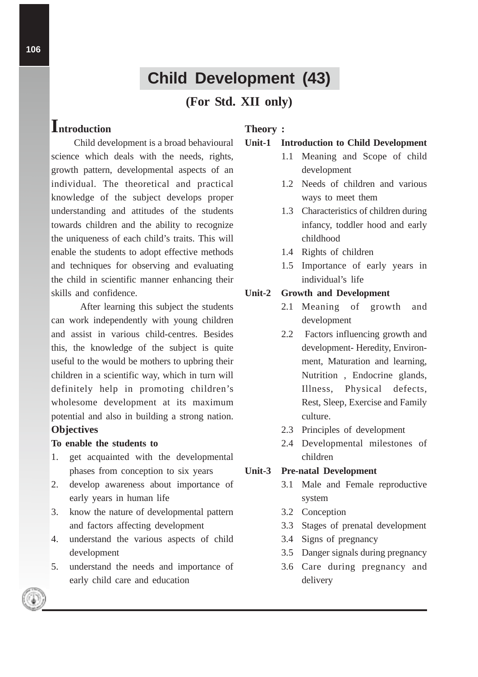# **Child Development (43)**

## **(For Std. XII only)**

# **Introduction**

Child development is a broad behavioural science which deals with the needs, rights, growth pattern, developmental aspects of an individual. The theoretical and practical knowledge of the subject develops proper understanding and attitudes of the students towards children and the ability to recognize the uniqueness of each child's traits. This will enable the students to adopt effective methods and techniques for observing and evaluating the child in scientific manner enhancing their skills and confidence.

After learning this subject the students can work independently with young children and assist in various child-centres. Besides this, the knowledge of the subject is quite useful to the would be mothers to upbring their children in a scientific way, which in turn will definitely help in promoting children's wholesome development at its maximum potential and also in building a strong nation. **Objectives**

#### **To enable the students to**

- 1. get acquainted with the developmental phases from conception to six years
- 2. develop awareness about importance of early years in human life
- 3. know the nature of developmental pattern and factors affecting development
- 4. understand the various aspects of child development
- 5. understand the needs and importance of early child care and education

## **Theory :**

#### **Unit-1 Introduction to Child Development**

- 1.1 Meaning and Scope of child development
- 1.2 Needs of children and various ways to meet them
- 1.3 Characteristics of children during infancy, toddler hood and early childhood
- 1.4 Rights of children
- 1.5 Importance of early years in individual's life

#### **Unit-2 Growth and Development**

- 2.1 Meaning of growth and development
- 2.2 Factors influencing growth and development- Heredity, Environment, Maturation and learning, Nutrition , Endocrine glands, Illness, Physical defects, Rest, Sleep, Exercise and Family culture.
- 2.3 Principles of development
- 2.4 Developmental milestones of children

### **Unit-3 Pre-natal Development**

- 3.1 Male and Female reproductive system
- 3.2 Conception
- 3.3 Stages of prenatal development
- 3.4 Signs of pregnancy
- 3.5 Danger signals during pregnancy
- 3.6 Care during pregnancy and delivery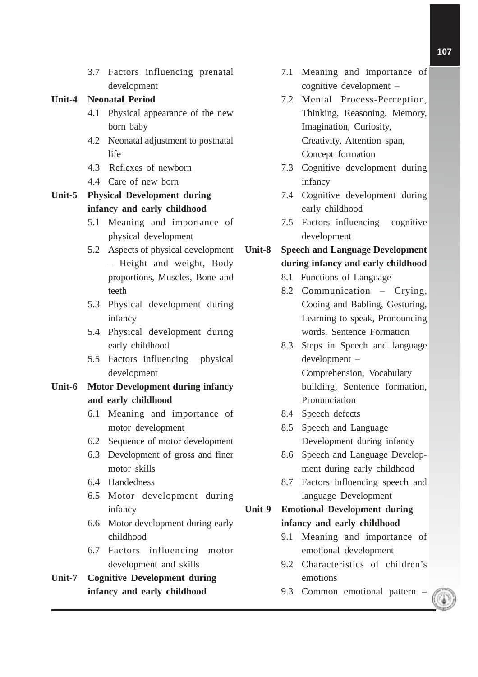3.7 Factors influencing prenatal development

#### **Unit-4 Neonatal Period**

- 4.1 Physical appearance of the new born baby
- 4.2 Neonatal adjustment to postnatal life
- 4.3 Reflexes of newborn
- 4.4 Care of new born

**Unit-5 Physical Development during infancy and early childhood**

- 5.1 Meaning and importance of physical development
- 5.2 Aspects of physical development – Height and weight, Body proportions, Muscles, Bone and teeth
- 5.3 Physical development during infancy
- 5.4 Physical development during early childhood
- 5.5 Factors influencing physical development

## **Unit-6 Motor Development during infancy and early childhood**

- 6.1 Meaning and importance of motor development
- 6.2 Sequence of motor development
- 6.3 Development of gross and finer motor skills
- 6.4 Handedness
- 6.5 Motor development during infancy
- 6.6 Motor development during early childhood
- 6.7 Factors influencing motor development and skills
- **Unit-7 Cognitive Development during infancy and early childhood**
- 7.1 Meaning and importance of cognitive development –
- 7.2 Mental Process-Perception, Thinking, Reasoning, Memory, Imagination, Curiosity, Creativity, Attention span, Concept formation
- 7.3 Cognitive development during infancy
- 7.4 Cognitive development during early childhood
- 7.5 Factors influencing cognitive development

## **Unit-8 Speech and Language Development during infancy and early childhood**

- 8.1 Functions of Language
- 8.2 Communication Crying, Cooing and Babling, Gesturing, Learning to speak, Pronouncing words, Sentence Formation
- 8.3 Steps in Speech and language development – Comprehension, Vocabulary building, Sentence formation, Pronunciation
- 8.4 Speech defects
- 8.5 Speech and Language Development during infancy
- 8.6 Speech and Language Development during early childhood
- 8.7 Factors influencing speech and language Development

## **Unit-9 Emotional Development during infancy and early childhood**

- 9.1 Meaning and importance of emotional development
- 9.2 Characteristics of children's emotions
- 9.3 Common emotional pattern –